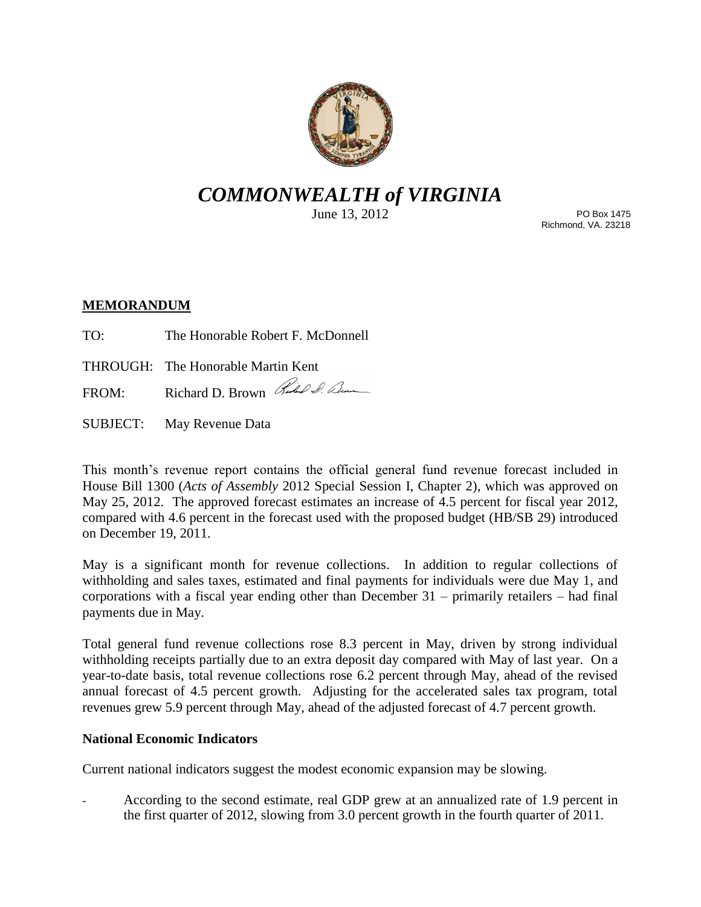

# *COMMONWEALTH of VIRGINIA*

June 13, 2012

PO Box 1475 Richmond, VA. 23218

## **MEMORANDUM**

- TO: The Honorable Robert F. McDonnell
- THROUGH: The Honorable Martin Kent
- FROM: Richard D. Brown Rud & Com
- SUBJECT: May Revenue Data

This month's revenue report contains the official general fund revenue forecast included in House Bill 1300 (*Acts of Assembly* 2012 Special Session I, Chapter 2), which was approved on May 25, 2012. The approved forecast estimates an increase of 4.5 percent for fiscal year 2012, compared with 4.6 percent in the forecast used with the proposed budget (HB/SB 29) introduced on December 19, 2011.

May is a significant month for revenue collections. In addition to regular collections of withholding and sales taxes, estimated and final payments for individuals were due May 1, and corporations with a fiscal year ending other than December  $31$  – primarily retailers – had final payments due in May.

Total general fund revenue collections rose 8.3 percent in May, driven by strong individual withholding receipts partially due to an extra deposit day compared with May of last year. On a year-to-date basis, total revenue collections rose 6.2 percent through May, ahead of the revised annual forecast of 4.5 percent growth. Adjusting for the accelerated sales tax program, total revenues grew 5.9 percent through May, ahead of the adjusted forecast of 4.7 percent growth.

### **National Economic Indicators**

Current national indicators suggest the modest economic expansion may be slowing.

- According to the second estimate, real GDP grew at an annualized rate of 1.9 percent in the first quarter of 2012, slowing from 3.0 percent growth in the fourth quarter of 2011.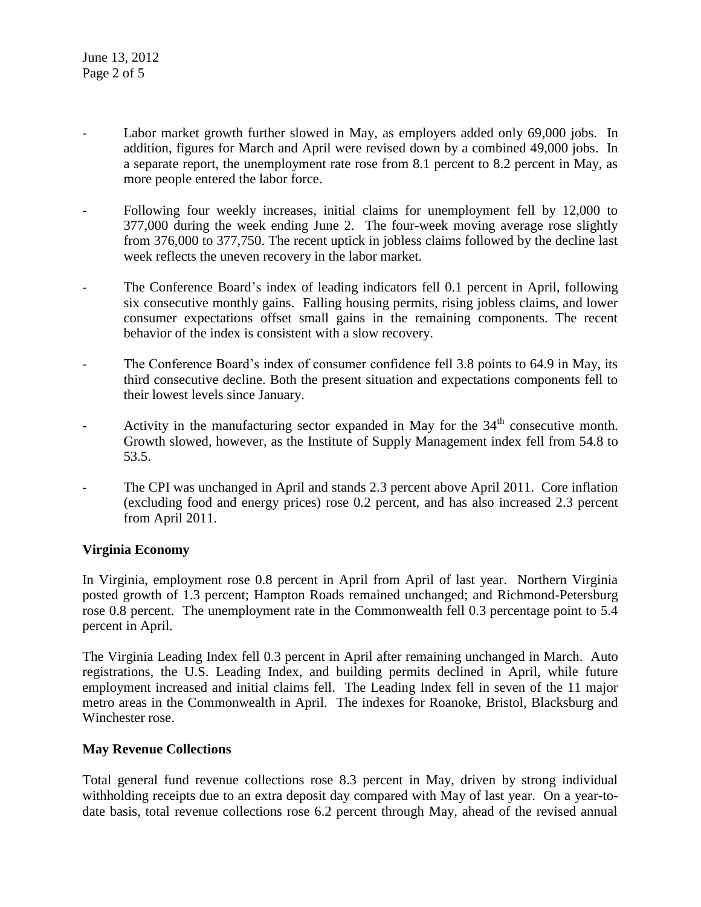- Labor market growth further slowed in May, as employers added only 69,000 jobs. In addition, figures for March and April were revised down by a combined 49,000 jobs. In a separate report, the unemployment rate rose from 8.1 percent to 8.2 percent in May, as more people entered the labor force.
- Following four weekly increases, initial claims for unemployment fell by 12,000 to 377,000 during the week ending June 2. The four-week moving average rose slightly from 376,000 to 377,750. The recent uptick in jobless claims followed by the decline last week reflects the uneven recovery in the labor market.
- The Conference Board's index of leading indicators fell 0.1 percent in April, following six consecutive monthly gains. Falling housing permits, rising jobless claims, and lower consumer expectations offset small gains in the remaining components. The recent behavior of the index is consistent with a slow recovery.
- The Conference Board's index of consumer confidence fell 3.8 points to 64.9 in May, its third consecutive decline. Both the present situation and expectations components fell to their lowest levels since January.
- Activity in the manufacturing sector expanded in May for the  $34<sup>th</sup>$  consecutive month. Growth slowed, however, as the Institute of Supply Management index fell from 54.8 to 53.5.
- The CPI was unchanged in April and stands 2.3 percent above April 2011. Core inflation (excluding food and energy prices) rose 0.2 percent, and has also increased 2.3 percent from April 2011.

### **Virginia Economy**

In Virginia, employment rose 0.8 percent in April from April of last year. Northern Virginia posted growth of 1.3 percent; Hampton Roads remained unchanged; and Richmond-Petersburg rose 0.8 percent. The unemployment rate in the Commonwealth fell 0.3 percentage point to 5.4 percent in April.

The Virginia Leading Index fell 0.3 percent in April after remaining unchanged in March. Auto registrations, the U.S. Leading Index, and building permits declined in April, while future employment increased and initial claims fell. The Leading Index fell in seven of the 11 major metro areas in the Commonwealth in April. The indexes for Roanoke, Bristol, Blacksburg and Winchester rose.

### **May Revenue Collections**

Total general fund revenue collections rose 8.3 percent in May, driven by strong individual withholding receipts due to an extra deposit day compared with May of last year. On a year-todate basis, total revenue collections rose 6.2 percent through May, ahead of the revised annual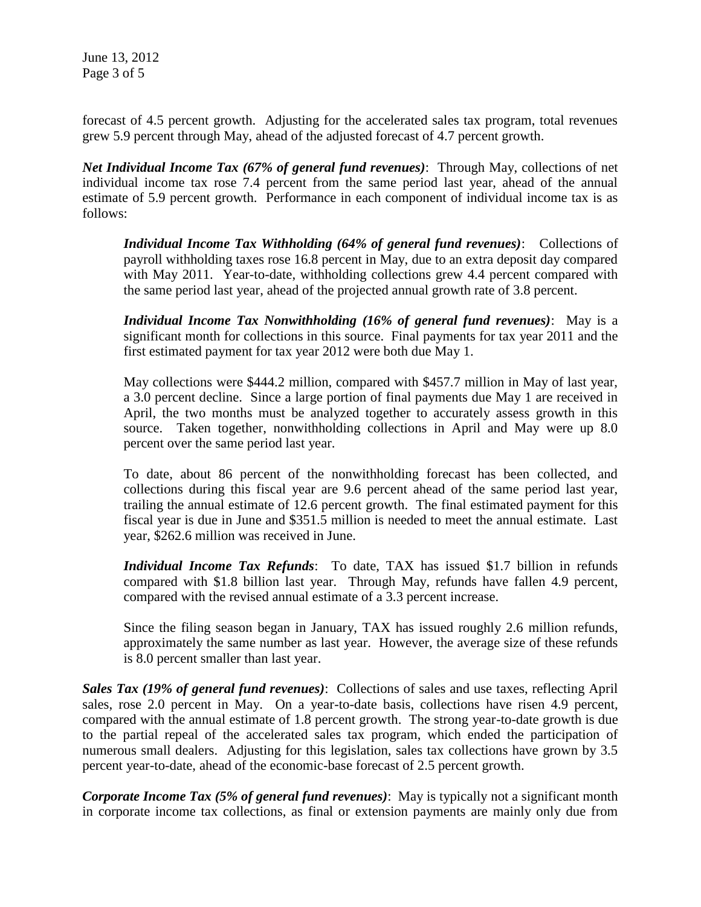June 13, 2012 Page 3 of 5

forecast of 4.5 percent growth. Adjusting for the accelerated sales tax program, total revenues grew 5.9 percent through May, ahead of the adjusted forecast of 4.7 percent growth.

*Net Individual Income Tax (67% of general fund revenues)*: Through May, collections of net individual income tax rose 7.4 percent from the same period last year, ahead of the annual estimate of 5.9 percent growth. Performance in each component of individual income tax is as follows:

*Individual Income Tax Withholding (64% of general fund revenues)*: Collections of payroll withholding taxes rose 16.8 percent in May, due to an extra deposit day compared with May 2011. Year-to-date, withholding collections grew 4.4 percent compared with the same period last year, ahead of the projected annual growth rate of 3.8 percent.

*Individual Income Tax Nonwithholding (16% of general fund revenues)*: May is a significant month for collections in this source. Final payments for tax year 2011 and the first estimated payment for tax year 2012 were both due May 1.

May collections were \$444.2 million, compared with \$457.7 million in May of last year, a 3.0 percent decline. Since a large portion of final payments due May 1 are received in April, the two months must be analyzed together to accurately assess growth in this source. Taken together, nonwithholding collections in April and May were up 8.0 percent over the same period last year.

To date, about 86 percent of the nonwithholding forecast has been collected, and collections during this fiscal year are 9.6 percent ahead of the same period last year, trailing the annual estimate of 12.6 percent growth. The final estimated payment for this fiscal year is due in June and \$351.5 million is needed to meet the annual estimate. Last year, \$262.6 million was received in June.

*Individual Income Tax Refunds*: To date, TAX has issued \$1.7 billion in refunds compared with \$1.8 billion last year. Through May, refunds have fallen 4.9 percent, compared with the revised annual estimate of a 3.3 percent increase.

Since the filing season began in January, TAX has issued roughly 2.6 million refunds, approximately the same number as last year. However, the average size of these refunds is 8.0 percent smaller than last year.

*Sales Tax (19% of general fund revenues)*: Collections of sales and use taxes, reflecting April sales, rose 2.0 percent in May. On a year-to-date basis, collections have risen 4.9 percent, compared with the annual estimate of 1.8 percent growth. The strong year-to-date growth is due to the partial repeal of the accelerated sales tax program, which ended the participation of numerous small dealers. Adjusting for this legislation, sales tax collections have grown by 3.5 percent year-to-date, ahead of the economic-base forecast of 2.5 percent growth.

*Corporate Income Tax (5% of general fund revenues)*: May is typically not a significant month in corporate income tax collections, as final or extension payments are mainly only due from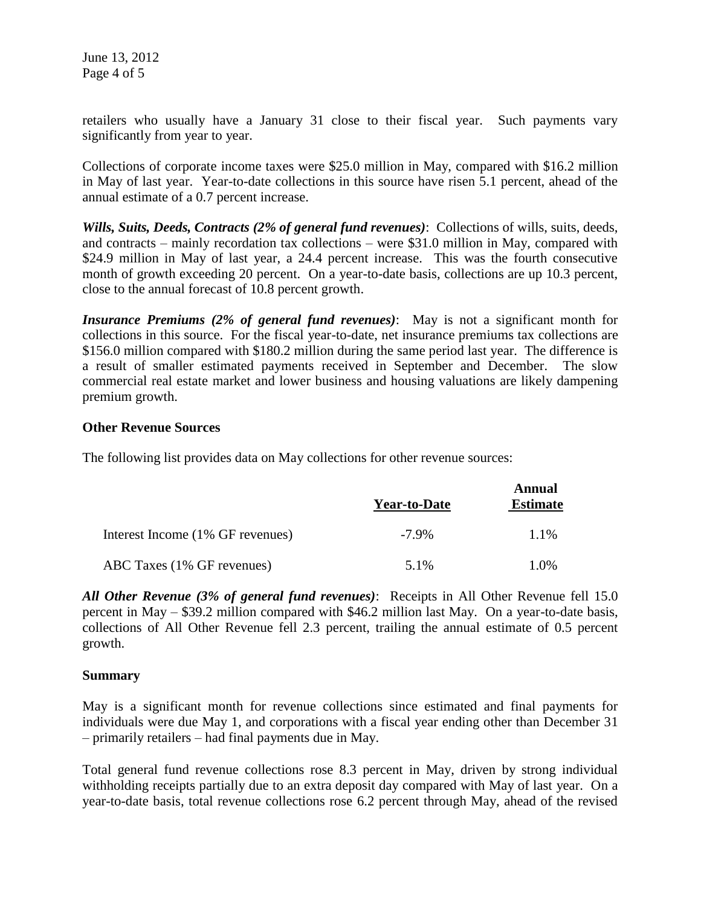retailers who usually have a January 31 close to their fiscal year. Such payments vary significantly from year to year.

Collections of corporate income taxes were \$25.0 million in May, compared with \$16.2 million in May of last year. Year-to-date collections in this source have risen 5.1 percent, ahead of the annual estimate of a 0.7 percent increase.

*Wills, Suits, Deeds, Contracts (2% of general fund revenues)*: Collections of wills, suits, deeds, and contracts – mainly recordation tax collections – were \$31.0 million in May, compared with \$24.9 million in May of last year, a 24.4 percent increase. This was the fourth consecutive month of growth exceeding 20 percent. On a year-to-date basis, collections are up 10.3 percent, close to the annual forecast of 10.8 percent growth.

*Insurance Premiums (2% of general fund revenues)*: May is not a significant month for collections in this source. For the fiscal year-to-date, net insurance premiums tax collections are \$156.0 million compared with \$180.2 million during the same period last year. The difference is a result of smaller estimated payments received in September and December. The slow commercial real estate market and lower business and housing valuations are likely dampening premium growth.

### **Other Revenue Sources**

The following list provides data on May collections for other revenue sources:

|                                  | <b>Year-to-Date</b> | Annual<br><b>Estimate</b> |
|----------------------------------|---------------------|---------------------------|
| Interest Income (1% GF revenues) | $-7.9\%$            | 1.1%                      |
| ABC Taxes (1% GF revenues)       | 5.1%                | 1.0%                      |

*All Other Revenue (3% of general fund revenues)*: Receipts in All Other Revenue fell 15.0 percent in May – \$39.2 million compared with \$46.2 million last May. On a year-to-date basis, collections of All Other Revenue fell 2.3 percent, trailing the annual estimate of 0.5 percent growth.

### **Summary**

May is a significant month for revenue collections since estimated and final payments for individuals were due May 1, and corporations with a fiscal year ending other than December 31 – primarily retailers – had final payments due in May.

Total general fund revenue collections rose 8.3 percent in May, driven by strong individual withholding receipts partially due to an extra deposit day compared with May of last year. On a year-to-date basis, total revenue collections rose 6.2 percent through May, ahead of the revised